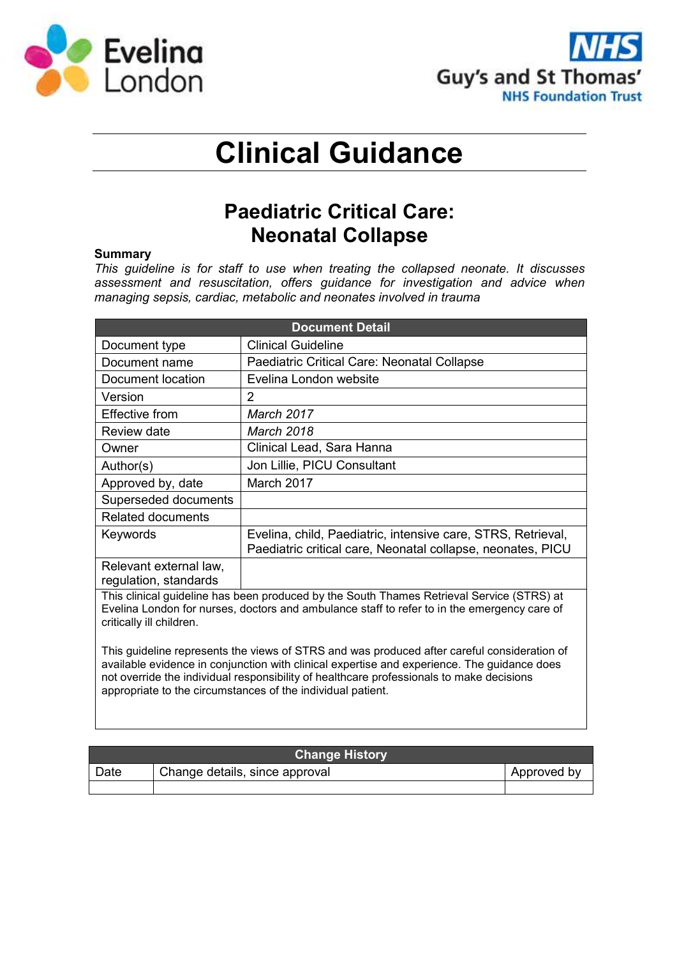



# **Clinical Guidance**

# **Paediatric Critical Care: Neonatal Collapse**

### **Summary**

*This guideline is for staff to use when treating the collapsed neonate. It discusses assessment and resuscitation, offers guidance for investigation and advice when managing sepsis, cardiac, metabolic and neonates involved in trauma*

| <b>Document Detail</b>                          |                                                                                                                                                                                                                                                                                                                                                       |  |  |  |
|-------------------------------------------------|-------------------------------------------------------------------------------------------------------------------------------------------------------------------------------------------------------------------------------------------------------------------------------------------------------------------------------------------------------|--|--|--|
| Document type                                   | <b>Clinical Guideline</b>                                                                                                                                                                                                                                                                                                                             |  |  |  |
| Document name                                   | Paediatric Critical Care: Neonatal Collapse                                                                                                                                                                                                                                                                                                           |  |  |  |
| Document location                               | Evelina London website                                                                                                                                                                                                                                                                                                                                |  |  |  |
| Version                                         | 2                                                                                                                                                                                                                                                                                                                                                     |  |  |  |
| Effective from                                  | March 2017                                                                                                                                                                                                                                                                                                                                            |  |  |  |
| Review date                                     | <b>March 2018</b>                                                                                                                                                                                                                                                                                                                                     |  |  |  |
| Owner                                           | Clinical Lead, Sara Hanna                                                                                                                                                                                                                                                                                                                             |  |  |  |
| Author(s)                                       | Jon Lillie, PICU Consultant                                                                                                                                                                                                                                                                                                                           |  |  |  |
| Approved by, date                               | March 2017                                                                                                                                                                                                                                                                                                                                            |  |  |  |
| Superseded documents                            |                                                                                                                                                                                                                                                                                                                                                       |  |  |  |
| <b>Related documents</b>                        |                                                                                                                                                                                                                                                                                                                                                       |  |  |  |
| Keywords                                        | Evelina, child, Paediatric, intensive care, STRS, Retrieval,<br>Paediatric critical care, Neonatal collapse, neonates, PICU                                                                                                                                                                                                                           |  |  |  |
| Relevant external law,<br>regulation, standards |                                                                                                                                                                                                                                                                                                                                                       |  |  |  |
| critically ill children.                        | This clinical guideline has been produced by the South Thames Retrieval Service (STRS) at<br>Evelina London for nurses, doctors and ambulance staff to refer to in the emergency care of                                                                                                                                                              |  |  |  |
|                                                 | This guideline represents the views of STRS and was produced after careful consideration of<br>available evidence in conjunction with clinical expertise and experience. The guidance does<br>not override the individual responsibility of healthcare professionals to make decisions<br>appropriate to the circumstances of the individual patient. |  |  |  |

| <b>Change History</b> |                                |             |  |  |  |
|-----------------------|--------------------------------|-------------|--|--|--|
| Date                  | Change details, since approval | Approved by |  |  |  |
|                       |                                |             |  |  |  |